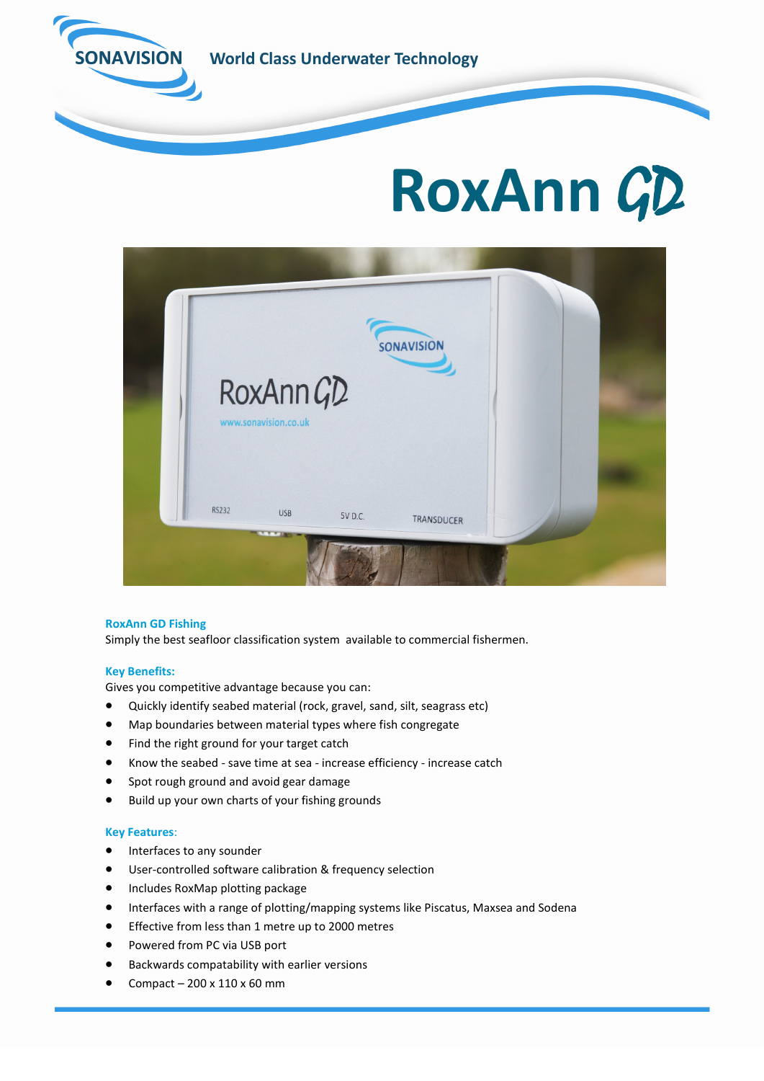

**World Class Underwater Technology** 

# **RoxAnn** GD



# **RoxAnn GD Fishing**

Simply the best seafloor classification system available to commercial fishermen.

# **Key Benefits:**

Gives you competitive advantage because you can:

- Quickly identify seabed material (rock, gravel, sand, silt, seagrass etc)
- Map boundaries between material types where fish congregate
- Find the right ground for your target catch
- Know the seabed save time at sea increase efficiency increase catch
- Spot rough ground and avoid gear damage
- Build up your own charts of your fishing grounds

# **Key Features**:

- Interfaces to any sounder
- User-controlled software calibration & frequency selection
- Includes RoxMap plotting package
- Interfaces with a range of plotting/mapping systems like Piscatus, Maxsea and Sodena
- Effective from less than 1 metre up to 2000 metres
- Powered from PC via USB port
- Backwards compatability with earlier versions
- Compact 200 x 110 x 60 mm